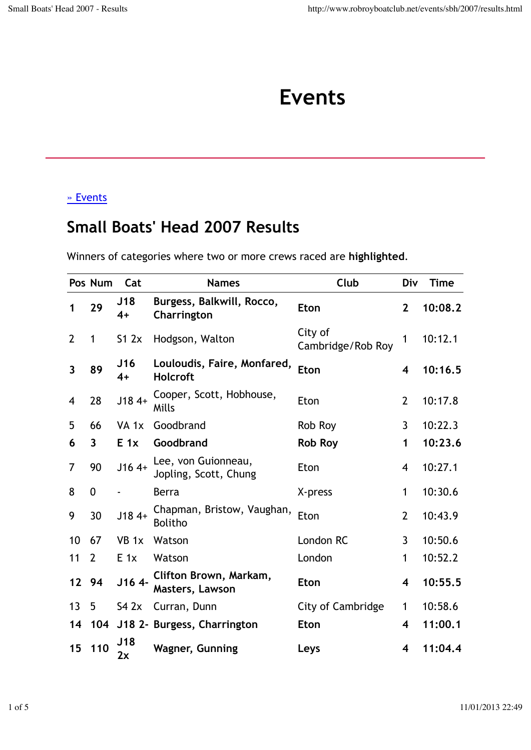## **Events**

## » Events

## **Small Boats' Head 2007 Results**

Winners of categories where two or more crews raced are **highlighted**.

|                         | Pos Num                 | Cat              | <b>Names</b>                                   | Club                         | Div                     | <b>Time</b> |
|-------------------------|-------------------------|------------------|------------------------------------------------|------------------------------|-------------------------|-------------|
| 1                       | 29                      | J18<br>$4+$      | Burgess, Balkwill, Rocco,<br>Charrington       | <b>Eton</b>                  | $\overline{2}$          | 10:08.2     |
| $\overline{2}$          | $\mathbf{1}$            | S12x             | Hodgson, Walton                                | City of<br>Cambridge/Rob Roy | 1                       | 10:12.1     |
| $\overline{\mathbf{3}}$ | 89                      | J16<br>$4+$      | Louloudis, Faire, Monfared,<br><b>Holcroft</b> | Eton                         | $\overline{\mathbf{4}}$ | 10:16.5     |
| $\overline{4}$          | 28                      | $J184+$          | Cooper, Scott, Hobhouse,<br>Mills              | Eton                         | $\overline{2}$          | 10:17.8     |
| 5                       | 66                      | VA <sub>1x</sub> | Goodbrand                                      | Rob Roy                      | $\overline{3}$          | 10:22.3     |
| 6                       | $\overline{\mathbf{3}}$ | $E_1$            | Goodbrand                                      | <b>Rob Roy</b>               | 1                       | 10:23.6     |
| 7                       | 90                      | $J164+$          | Lee, von Guionneau,<br>Jopling, Scott, Chung   | Eton                         | $\overline{4}$          | 10:27.1     |
| 8                       | 0                       |                  | Berra                                          | X-press                      | 1                       | 10:30.6     |
| 9                       | 30                      | $J184+$          | Chapman, Bristow, Vaughan,<br><b>Bolitho</b>   | Eton                         | $\overline{2}$          | 10:43.9     |
| 10                      | 67                      | $VB$ 1 $x$       | Watson                                         | London RC                    | 3                       | 10:50.6     |
| 11                      | $\overline{2}$          | $E_1$            | Watson                                         | London                       | 1                       | 10:52.2     |
| 12                      | 94                      | $J164-$          | Clifton Brown, Markam,<br>Masters, Lawson      | <b>Eton</b>                  | $\overline{\mathbf{4}}$ | 10:55.5     |
| 13                      | 5                       | S42x             | Curran, Dunn                                   | City of Cambridge            | $\mathbf{1}$            | 10:58.6     |
| 14                      |                         |                  | 104 J18 2- Burgess, Charrington                | <b>Eton</b>                  | $\overline{\mathbf{4}}$ | 11:00.1     |
| 15                      | 110                     | J18<br>2x        | <b>Wagner, Gunning</b>                         | Leys                         | $\overline{\mathbf{4}}$ | 11:04.4     |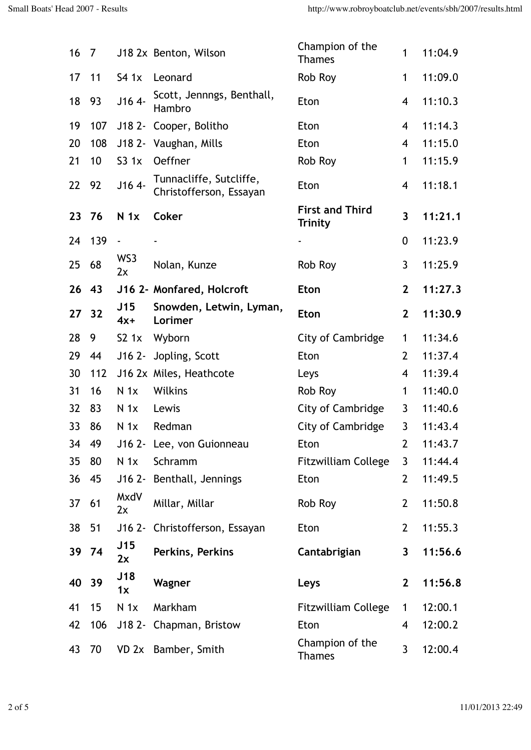| 16    | 7   |                  | J18 2x Benton, Wilson                              | Champion of the<br><b>Thames</b>  | 1              | 11:04.9 |
|-------|-----|------------------|----------------------------------------------------|-----------------------------------|----------------|---------|
| 17    | 11  | S41x             | Leonard                                            | Rob Roy                           | 1              | 11:09.0 |
| 18    | 93  | $J164 -$         | Scott, Jennngs, Benthall,<br>Hambro                | Eton                              | $\overline{4}$ | 11:10.3 |
| 19    | 107 |                  | J18 2- Cooper, Bolitho                             | Eton                              | $\overline{4}$ | 11:14.3 |
| 20    | 108 |                  | J18 2- Vaughan, Mills                              | Eton                              | $\overline{4}$ | 11:15.0 |
| 21    | 10  | S31x             | Oeffner                                            | Rob Roy                           | 1              | 11:15.9 |
| 22    | 92  | $J164 -$         | Tunnacliffe, Sutcliffe,<br>Christofferson, Essayan | Eton                              | $\overline{4}$ | 11:18.1 |
| 23    | 76  | N <sub>1x</sub>  | <b>Coker</b>                                       | <b>First and Third</b><br>Trinity | $\overline{3}$ | 11:21.1 |
| 24    | 139 | $\blacksquare$   |                                                    |                                   | $\mathbf 0$    | 11:23.9 |
| 25    | 68  | WS3<br>2x        | Nolan, Kunze                                       | Rob Roy                           | $\mathbf{3}$   | 11:25.9 |
| 26    | 43  |                  | J16 2- Monfared, Holcroft                          | <b>Eton</b>                       | $\mathbf{2}$   | 11:27.3 |
| 27 32 |     | J15<br>$4x+$     | Snowden, Letwin, Lyman,<br>Lorimer                 | <b>Eton</b>                       | $\mathbf{2}$   | 11:30.9 |
| 28    | 9   | S2 <sub>1x</sub> | Wyborn                                             | City of Cambridge                 | 1              | 11:34.6 |
| 29    | 44  | $J16$ 2-         | Jopling, Scott                                     | Eton                              | $\overline{2}$ | 11:37.4 |
| 30    | 112 |                  | J16 2x Miles, Heathcote                            | Leys                              | 4              | 11:39.4 |
| 31    | 16  | N <sub>1x</sub>  | Wilkins                                            | Rob Roy                           | 1              | 11:40.0 |
| 32    | 83  | N <sub>1x</sub>  | Lewis                                              | City of Cambridge                 | 3              | 11:40.6 |
| 33    | 86  | N <sub>1x</sub>  | Redman                                             | City of Cambridge                 | $\mathfrak{Z}$ | 11:43.4 |
| 34    | 49  |                  | J16 2- Lee, von Guionneau                          | Eton                              | $\overline{2}$ | 11:43.7 |
| 35    | 80  | N <sub>1x</sub>  | Schramm                                            | <b>Fitzwilliam College</b>        | $\mathbf{3}$   | 11:44.4 |
| 36    | 45  |                  | J16 2- Benthall, Jennings                          | Eton                              | $\overline{2}$ | 11:49.5 |
| 37    | 61  | MxdV<br>2x       | Millar, Millar                                     | Rob Roy                           | $\overline{2}$ | 11:50.8 |
| 38    | 51  |                  | J16 2- Christofferson, Essayan                     | Eton                              | $\overline{2}$ | 11:55.3 |
| 39    | 74  | J15<br>2x        | Perkins, Perkins                                   | Cantabrigian                      | $\mathbf{3}$   | 11:56.6 |
| 40    | 39  | J18<br>1x        | Wagner                                             | Leys                              | $\mathbf{2}$   | 11:56.8 |
| 41    | 15  | N <sub>1x</sub>  | Markham                                            | <b>Fitzwilliam College</b>        | $\mathbf 1$    | 12:00.1 |
| 42    | 106 |                  | J18 2- Chapman, Bristow                            | Eton                              | $\overline{4}$ | 12:00.2 |
| 43    | 70  |                  | VD 2x Bamber, Smith                                | Champion of the<br><b>Thames</b>  | $\mathbf{3}$   | 12:00.4 |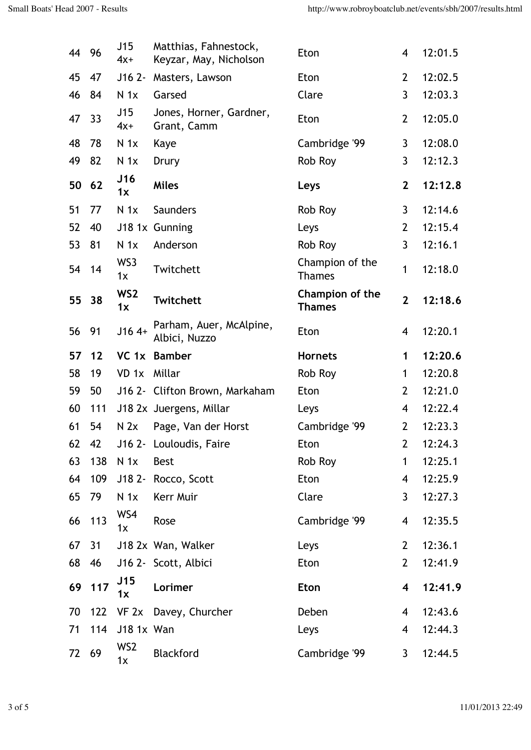| 44 96 |     | J15<br>$4x+$          | Matthias, Fahnestock,<br>Keyzar, May, Nicholson | Eton                             | 4              | 12:01.5 |
|-------|-----|-----------------------|-------------------------------------------------|----------------------------------|----------------|---------|
| 45    | 47  | $J162 -$              | Masters, Lawson                                 | Eton                             | $\overline{2}$ | 12:02.5 |
| 46    | 84  | N <sub>1x</sub>       | Garsed                                          | Clare                            | $\mathbf{3}$   | 12:03.3 |
| 47    | 33  | J15<br>$4x+$          | Jones, Horner, Gardner,<br>Grant, Camm          | Eton                             | $\overline{2}$ | 12:05.0 |
| 48    | 78  | N <sub>1x</sub>       | Kaye                                            | Cambridge '99                    | 3              | 12:08.0 |
| 49    | 82  | N <sub>1x</sub>       | Drury                                           | Rob Roy                          | 3              | 12:12.3 |
| 50    | 62  | J16<br>1x             | <b>Miles</b>                                    | Leys                             | $\mathbf{2}$   | 12:12.8 |
| 51    | 77  | N <sub>1x</sub>       | <b>Saunders</b>                                 | Rob Roy                          | $\mathbf{3}$   | 12:14.6 |
| 52    | 40  |                       | J18 1x Gunning                                  | Leys                             | $\overline{2}$ | 12:15.4 |
| 53    | 81  | N <sub>1x</sub>       | Anderson                                        | Rob Roy                          | $\overline{3}$ | 12:16.1 |
| 54    | 14  | WS3<br>1x             | Twitchett                                       | Champion of the<br><b>Thames</b> | 1              | 12:18.0 |
| 55    | 38  | WS <sub>2</sub><br>1x | <b>Twitchett</b>                                | Champion of the<br><b>Thames</b> | $\overline{2}$ | 12:18.6 |
| 56    | 91  | $J164+$               | Parham, Auer, McAlpine,<br>Albici, Nuzzo        | Eton                             | 4              | 12:20.1 |
| 57    | 12  |                       | VC 1x Bamber                                    | <b>Hornets</b>                   | 1              | 12:20.6 |
| 58    | 19  | $VD$ 1 $x$            | Millar                                          | Rob Roy                          | 1              | 12:20.8 |
| 59    | 50  |                       | J16 2- Clifton Brown, Markaham                  | Eton                             | $\overline{2}$ | 12:21.0 |
| 60    | 111 |                       | J18 2x Juergens, Millar                         | Leys                             | 4              | 12:22.4 |
| 61    | 54  | N <sub>2x</sub>       | Page, Van der Horst                             | Cambridge '99                    | $\overline{2}$ | 12:23.3 |
| 62    | 42  |                       | J16 2- Louloudis, Faire                         | Eton                             | $\overline{2}$ | 12:24.3 |
| 63    | 138 | N <sub>1x</sub>       | <b>Best</b>                                     | Rob Roy                          | $\mathbf{1}$   | 12:25.1 |
| 64    | 109 |                       | J18 2- Rocco, Scott                             | Eton                             | 4              | 12:25.9 |
| 65    | 79  | N <sub>1x</sub>       | Kerr Muir                                       | Clare                            | $\mathbf{3}$   | 12:27.3 |
| 66    | 113 | WS4<br>1x             | Rose                                            | Cambridge '99                    | 4              | 12:35.5 |
| 67    | 31  |                       | J18 2x Wan, Walker                              | Leys                             | $\overline{2}$ | 12:36.1 |
| 68    | 46  |                       | J16 2- Scott, Albici                            | Eton                             | $\overline{2}$ | 12:41.9 |
| 69    | 117 | J15<br>1x             | Lorimer                                         | Eton                             | 4              | 12:41.9 |
| 70    | 122 |                       | VF 2x Davey, Churcher                           | Deben                            | $\overline{4}$ | 12:43.6 |
| 71    | 114 | J18 1x Wan            |                                                 | Leys                             | 4              | 12:44.3 |
| 72    | 69  | WS2<br>1x             | <b>Blackford</b>                                | Cambridge '99                    | $\mathbf{3}$   | 12:44.5 |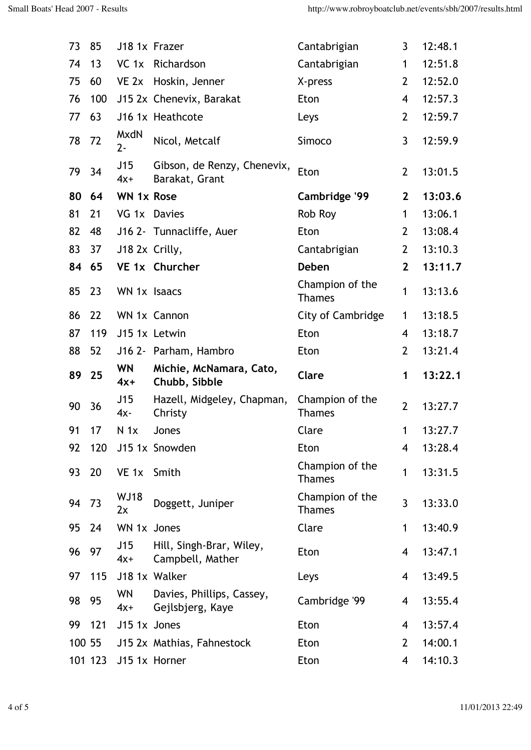| 73     | 85      | J18 1x Frazer        |                                               | Cantabrigian                     | 3              | 12:48.1 |
|--------|---------|----------------------|-----------------------------------------------|----------------------------------|----------------|---------|
| 74     | 13      | VC 1x                | Richardson                                    | Cantabrigian                     | 1              | 12:51.8 |
| 75     | 60      | VE 2x                | Hoskin, Jenner                                | X-press                          | $\overline{2}$ | 12:52.0 |
| 76     | 100     |                      | J15 2x Chenevix, Barakat                      | Eton                             | 4              | 12:57.3 |
| 77     | 63      |                      | J16 1x Heathcote                              | Leys                             | 2              | 12:59.7 |
| 78     | 72      | <b>MxdN</b><br>$2 -$ | Nicol, Metcalf                                | Simoco                           | 3              | 12:59.9 |
| 79     | 34      | J15<br>$4x+$         | Gibson, de Renzy, Chenevix,<br>Barakat, Grant | Eton                             | $\overline{2}$ | 13:01.5 |
| 80     | 64      | <b>WN 1x Rose</b>    |                                               | Cambridge '99                    | $\mathbf{2}$   | 13:03.6 |
| 81     | 21      | VG 1x Davies         |                                               | Rob Roy                          | $\mathbf{1}$   | 13:06.1 |
| 82     | 48      |                      | J16 2- Tunnacliffe, Auer                      | Eton                             | $\overline{2}$ | 13:08.4 |
| 83     | 37      | J18 2x Crilly,       |                                               | Cantabrigian                     | $\overline{2}$ | 13:10.3 |
| 84     | 65      |                      | VE 1x Churcher                                | <b>Deben</b>                     | $\overline{2}$ | 13:11.7 |
| 85     | 23      | WN 1x Isaacs         |                                               | Champion of the<br><b>Thames</b> | $\mathbf{1}$   | 13:13.6 |
| 86     | 22      |                      | WN 1x Cannon                                  | City of Cambridge                | $\mathbf{1}$   | 13:18.5 |
| 87     | 119     |                      | J15 1x Letwin                                 | Eton                             | 4              | 13:18.7 |
| 88     | 52      |                      | J16 2- Parham, Hambro                         | Eton                             | 2              | 13:21.4 |
| 89     | 25      | <b>WN</b><br>$4x+$   | Michie, McNamara, Cato,<br>Chubb, Sibble      | Clare                            | 1              | 13:22.1 |
| 90     | 36      | J15<br>$4x -$        | Hazell, Midgeley, Chapman,<br>Christy         | Champion of the<br><b>Thames</b> | $\overline{2}$ | 13:27.7 |
| 91     | 17      | N <sub>1x</sub>      | Jones                                         | Clare                            | 1              | 13:27.7 |
| 92     | 120     |                      | J15 1x Snowden                                | Eton                             | 4              | 13:28.4 |
| 93     | 20      | VE 1x                | Smith                                         | Champion of the<br><b>Thames</b> | $\mathbf{1}$   | 13:31.5 |
| 94     | 73      | <b>WJ18</b><br>2x    | Doggett, Juniper                              | Champion of the<br><b>Thames</b> | 3              | 13:33.0 |
| 95     | 24      | WN 1x Jones          |                                               | Clare                            | $\mathbf{1}$   | 13:40.9 |
| 96     | 97      | J15<br>$4x+$         | Hill, Singh-Brar, Wiley,<br>Campbell, Mather  | Eton                             | 4              | 13:47.1 |
| 97     | 115     |                      | J18 1x Walker                                 | Leys                             | 4              | 13:49.5 |
| 98     | 95      | <b>WN</b><br>$4x+$   | Davies, Phillips, Cassey,<br>Gejlsbjerg, Kaye | Cambridge '99                    | 4              | 13:55.4 |
| 99     | 121     | J15 1x Jones         |                                               | Eton                             | 4              | 13:57.4 |
| 100 55 |         |                      | J15 2x Mathias, Fahnestock                    | Eton                             | $\overline{2}$ | 14:00.1 |
|        | 101 123 |                      | J15 1x Horner                                 | Eton                             | 4              | 14:10.3 |